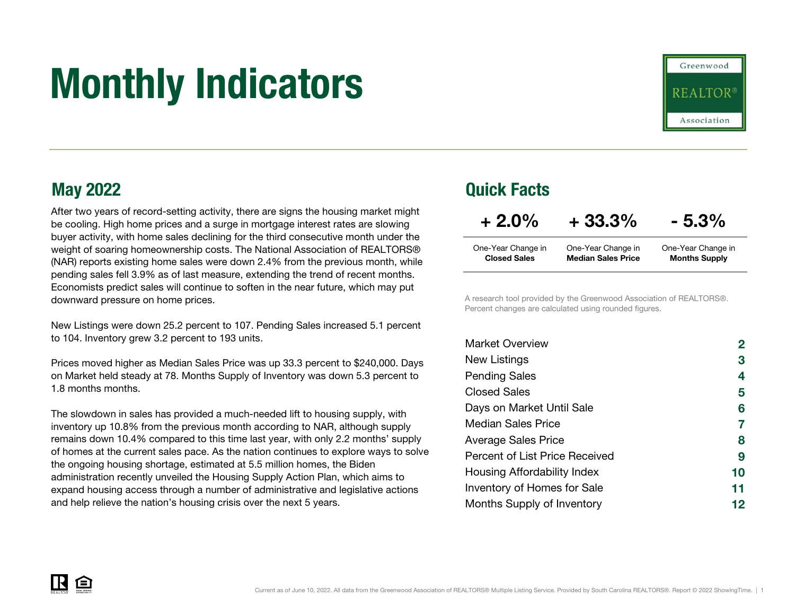# Monthly Indicators



After two years of record-setting activity, there are signs the housing market might be cooling. High home prices and a surge in mortgage interest rates are slowing buyer activity, with home sales declining for the third consecutive month under the weight of soaring homeownership costs. The National Association of REALTORS® (NAR) reports existing home sales were down 2.4% from the previous month, while pending sales fell 3.9% as of last measure, extending the trend of recent months. Economists predict sales will continue to soften in the near future, which may put downward pressure on home prices.

New Listings were down 25.2 percent to 107. Pending Sales increased 5.1 percent to 104. Inventory grew 3.2 percent to 193 units.

Prices moved higher as Median Sales Price was up 33.3 percent to \$240,000. Days on Market held steady at 78. Months Supply of Inventory was down 5.3 percent to 1.8 months months.

The slowdown in sales has provided a much-needed lift to housing supply, with inventory up 10.8% from the previous month according to NAR, although supply remains down 10.4% compared to this time last year, with only 2.2 months' supply of homes at the current sales pace. As the nation continues to explore ways to solve the ongoing housing shortage, estimated at 5.5 million homes, the Biden administration recently unveiled the Housing Supply Action Plan, which aims to expand housing access through a number of administrative and legislative actions and help relieve the nation's housing crisis over the next 5 years.

### May 2022 Quick Facts

| $+2.0%$             | $+33.3%$                  | $-5.3\%$             |
|---------------------|---------------------------|----------------------|
| One-Year Change in  | One-Year Change in        | One-Year Change in   |
| <b>Closed Sales</b> | <b>Median Sales Price</b> | <b>Months Supply</b> |

A research tool provided by the Greenwood Association of REALTORS®. Percent changes are calculated using rounded figures.

| <b>Market Overview</b>             | $\mathbf{2}$ |
|------------------------------------|--------------|
| New Listings                       | 3            |
| <b>Pending Sales</b>               | 4            |
| <b>Closed Sales</b>                | 5            |
| Days on Market Until Sale          | 6            |
| <b>Median Sales Price</b>          | 7            |
| <b>Average Sales Price</b>         | 8            |
| Percent of List Price Received     | 9            |
| Housing Affordability Index        | 10           |
| <b>Inventory of Homes for Sale</b> | 11           |
| Months Supply of Inventory         | 12           |

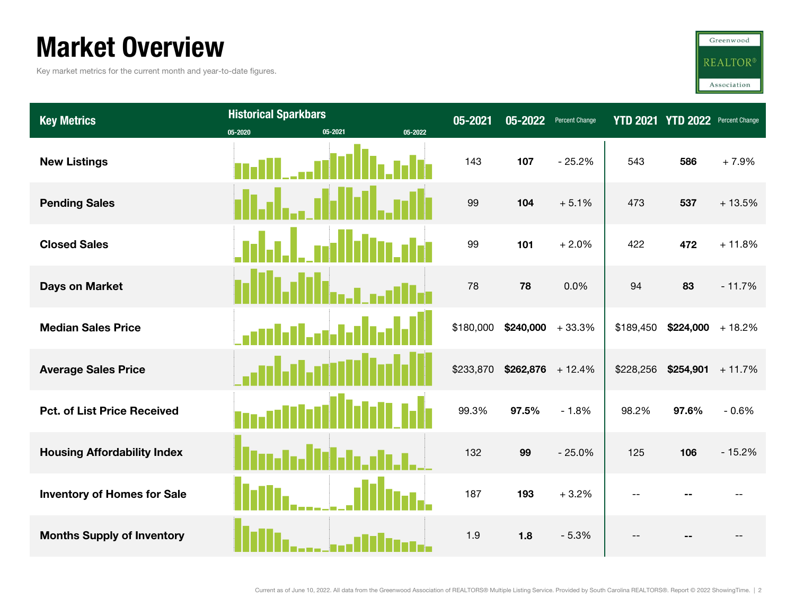### Market Overview

Key market metrics for the current month and year-to-date figures.



| <b>Key Metrics</b>                 | <b>Historical Sparkbars</b> |         |         | 05-2021   | 05-2022             | <b>Percent Change</b> | <b>YTD 2021</b> | <b>YTD 2022</b>     | <b>Percent Change</b> |
|------------------------------------|-----------------------------|---------|---------|-----------|---------------------|-----------------------|-----------------|---------------------|-----------------------|
| <b>New Listings</b>                | 05-2020                     | 05-2021 | 05-2022 | 143       | 107                 | $-25.2%$              | 543             | 586                 | $+7.9%$               |
| <b>Pending Sales</b>               |                             |         |         | 99        | 104                 | $+5.1%$               | 473             | 537                 | $+13.5%$              |
| <b>Closed Sales</b>                |                             |         |         | 99        | 101                 | $+2.0%$               | 422             | 472                 | $+11.8%$              |
| <b>Days on Market</b>              |                             |         |         | 78        | 78                  | 0.0%                  | 94              | 83                  | $-11.7%$              |
| <b>Median Sales Price</b>          |                             |         |         | \$180,000 | $$240,000 + 33.3\%$ |                       | \$189,450       | $$224,000 + 18.2\%$ |                       |
| <b>Average Sales Price</b>         |                             |         |         | \$233,870 | $$262,876$ + 12.4%  |                       | \$228,256       | $$254,901$ + 11.7%  |                       |
| <b>Pct. of List Price Received</b> |                             |         |         | 99.3%     | 97.5%               | $-1.8%$               | 98.2%           | 97.6%               | $-0.6%$               |
| <b>Housing Affordability Index</b> |                             |         |         | 132       | 99                  | $-25.0%$              | 125             | 106                 | $-15.2%$              |
| <b>Inventory of Homes for Sale</b> |                             |         |         | 187       | 193                 | $+3.2%$               |                 |                     |                       |
| <b>Months Supply of Inventory</b>  |                             |         |         | 1.9       | 1.8                 | $-5.3%$               |                 |                     |                       |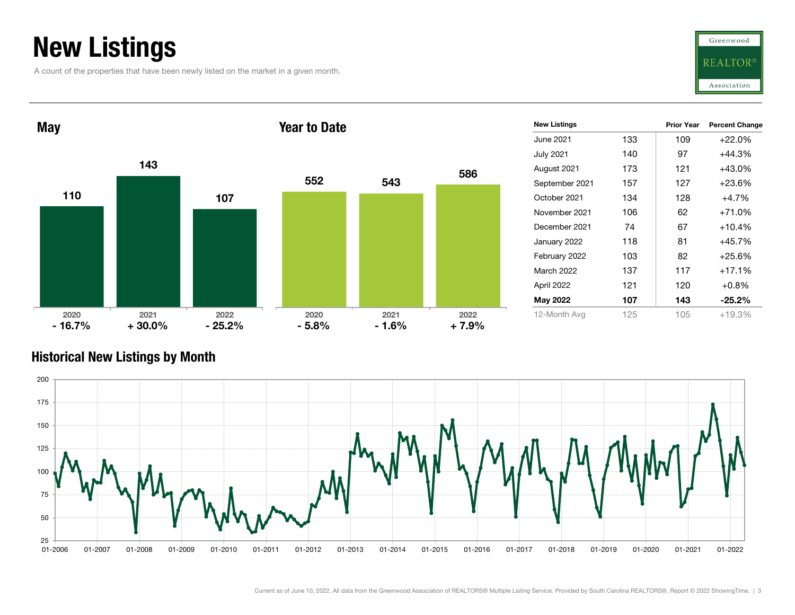### New Listings

A count of the properties that have been newly listed on the market in a given month.





#### Historical New Listings by Month

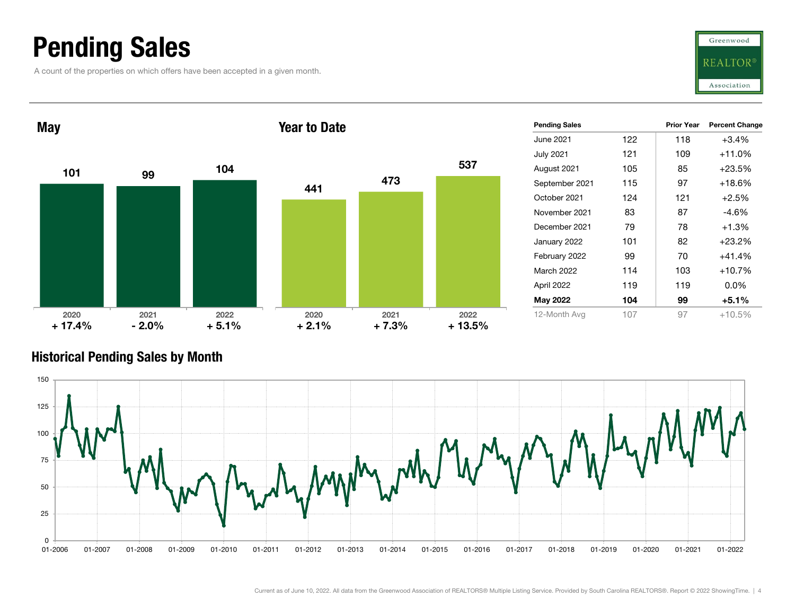### Pending Sales

A count of the properties on which offers have been accepted in a given month.





#### Historical Pending Sales by Month

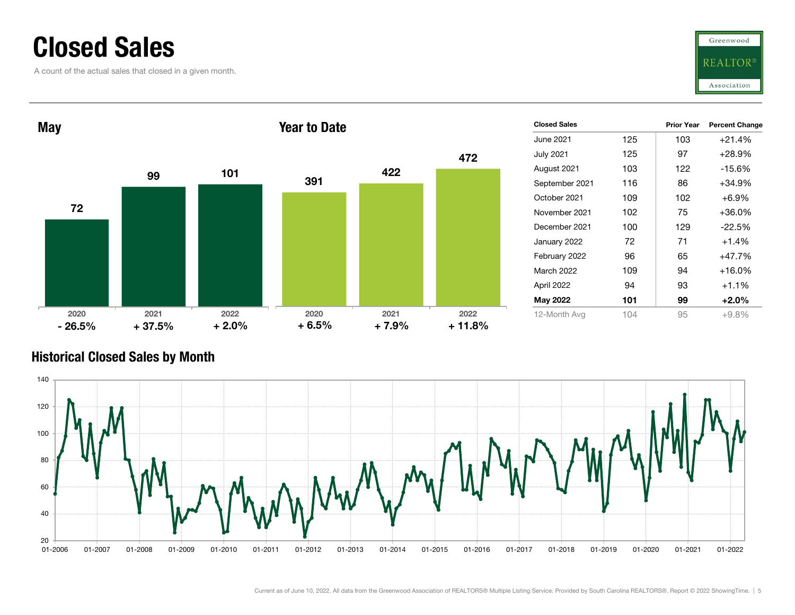### Closed Sales

A count of the actual sales that closed in a given month.





#### Historical Closed Sales by Month

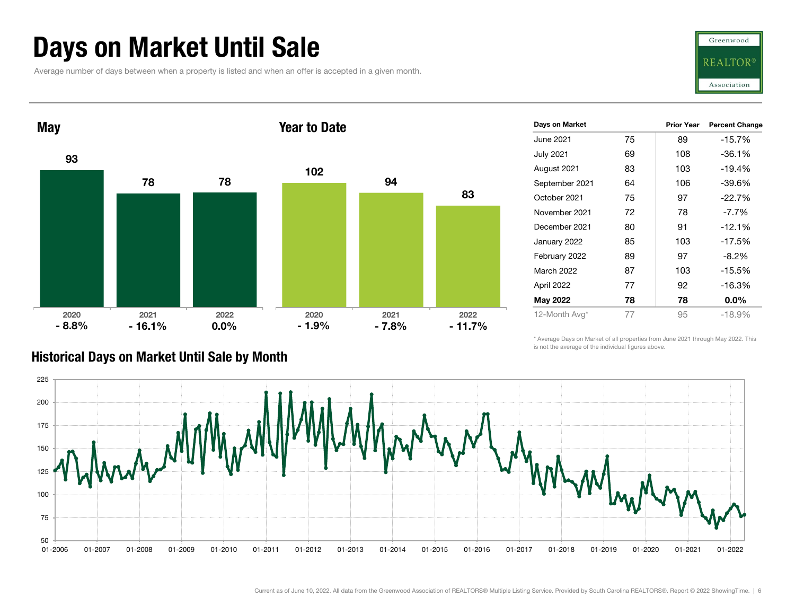### Days on Market Until Sale

Average number of days between when a property is listed and when an offer is accepted in a given month.





| Days on Market    |    | <b>Prior Year</b> | <b>Percent Change</b> |
|-------------------|----|-------------------|-----------------------|
| June 2021         | 75 | 89                | $-15.7%$              |
| July 2021         | 69 | 108               | $-36.1%$              |
| August 2021       | 83 | 103               | $-19.4%$              |
| September 2021    | 64 | 106               | $-39.6%$              |
| October 2021      | 75 | 97                | $-22.7%$              |
| November 2021     | 72 | 78                | $-7.7\%$              |
| December 2021     | 80 | 91                | $-12.1%$              |
| January 2022      | 85 | 103               | $-17.5%$              |
| February 2022     | 89 | 97                | $-8.2%$               |
| <b>March 2022</b> | 87 | 103               | $-15.5%$              |
| April 2022        | 77 | 92                | $-16.3%$              |
| May 2022          | 78 | 78                | $0.0\%$               |
| 12-Month Avg*     | 77 | 95                | $-18.9%$              |

#### Historical Days on Market Until Sale by Month

\* Average Days on Market of all properties from June 2021 through May 2022. This is not the average of the individual figures above.

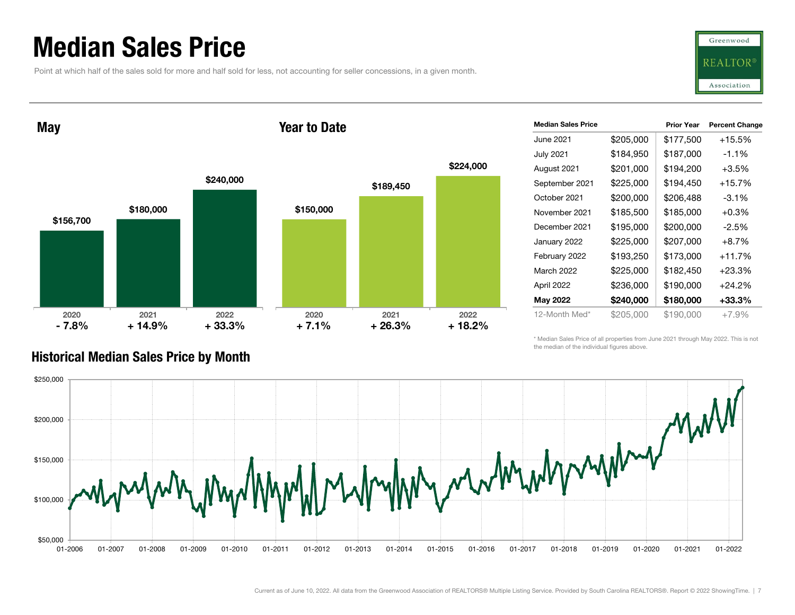### Median Sales Price

Point at which half of the sales sold for more and half sold for less, not accounting for seller concessions, in a given month.



May

#### Year to Date



| <b>Median Sales Price</b> |           | <b>Prior Year</b> | <b>Percent Change</b> |
|---------------------------|-----------|-------------------|-----------------------|
| June 2021                 | \$205,000 | \$177,500         | $+15.5%$              |
| <b>July 2021</b>          | \$184,950 | \$187,000         | $-1.1\%$              |
| August 2021               | \$201,000 | \$194,200         | $+3.5%$               |
| September 2021            | \$225,000 | \$194,450         | $+15.7%$              |
| October 2021              | \$200,000 | \$206,488         | $-3.1\%$              |
| November 2021             | \$185,500 | \$185,000         | $+0.3%$               |
| December 2021             | \$195,000 | \$200,000         | $-2.5%$               |
| January 2022              | \$225,000 | \$207,000         | $+8.7%$               |
| February 2022             | \$193,250 | \$173,000         | $+11.7%$              |
| <b>March 2022</b>         | \$225,000 | \$182,450         | +23.3%                |
| April 2022                | \$236,000 | \$190,000         | $+24.2%$              |
| May 2022                  | \$240,000 | \$180,000         | +33.3%                |
| 12-Month Med*             | \$205,000 | \$190,000         | $+7.9%$               |

\* Median Sales Price of all properties from June 2021 through May 2022. This is not the median of the individual figures above.



#### Historical Median Sales Price by Month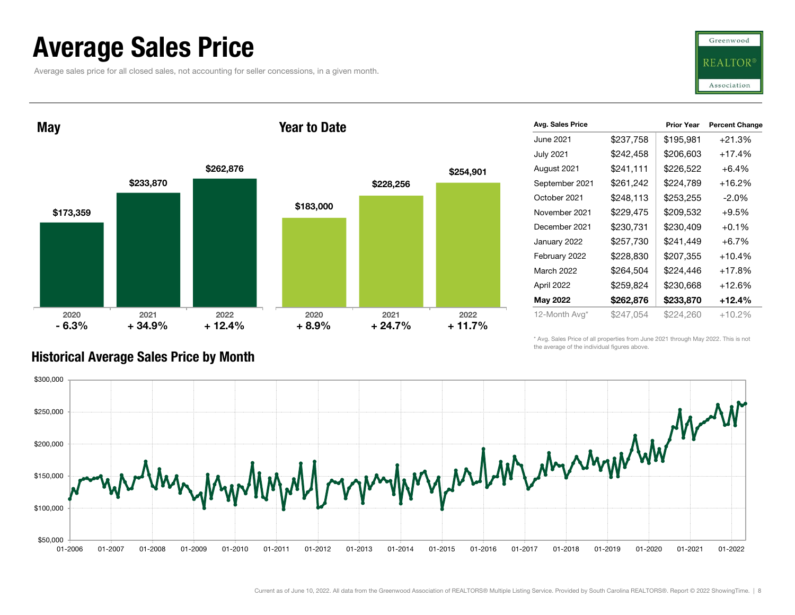### Average Sales Price

Average sales price for all closed sales, not accounting for seller concessions, in a given month.



May

#### Year to Date



| Avg. Sales Price  |           | <b>Prior Year</b> | <b>Percent Change</b> |
|-------------------|-----------|-------------------|-----------------------|
| June 2021         | \$237,758 | \$195,981         | $+21.3%$              |
| <b>July 2021</b>  | \$242,458 | \$206,603         | $+17.4%$              |
| August 2021       | \$241,111 | \$226,522         | $+6.4\%$              |
| September 2021    | \$261,242 | \$224,789         | $+16.2%$              |
| October 2021      | \$248,113 | \$253,255         | $-2.0\%$              |
| November 2021     | \$229,475 | \$209,532         | $+9.5%$               |
| December 2021     | \$230,731 | \$230,409         | $+0.1%$               |
| January 2022      | \$257,730 | \$241,449         | $+6.7%$               |
| February 2022     | \$228,830 | \$207,355         | $+10.4%$              |
| <b>March 2022</b> | \$264,504 | \$224,446         | $+17.8%$              |
| April 2022        | \$259,824 | \$230,668         | +12.6%                |
| May 2022          | \$262,876 | \$233,870         | $+12.4%$              |
| 12-Month Avg*     | \$247.054 | \$224,260         | $+10.2\%$             |

\* Avg. Sales Price of all properties from June 2021 through May 2022. This is not the average of the individual figures above.



#### Historical Average Sales Price by Month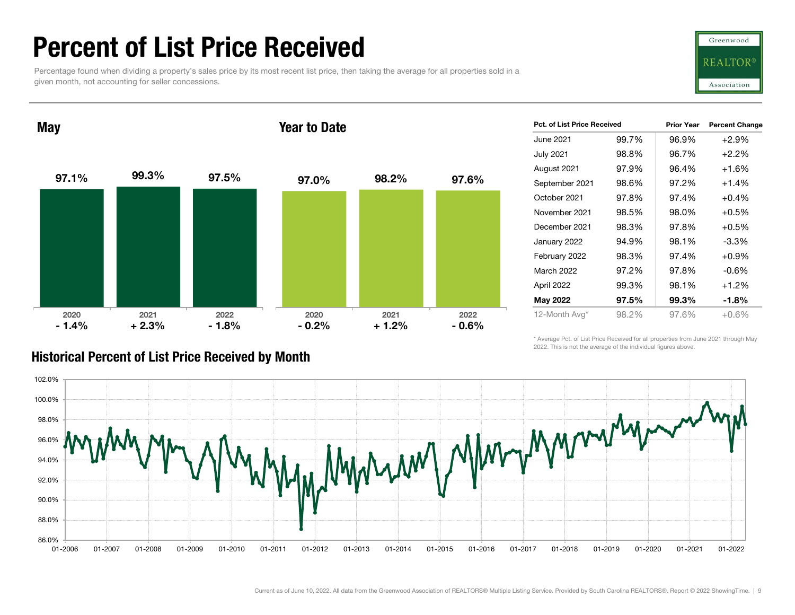### Percent of List Price Received

Percentage found when dividing a property's sales price by its most recent list price, then taking the average for all properties sold in a given month, not accounting for seller concessions.



97.1% 99.3% 97.5% 2020 2021 2022 May 97.0% 98.2% 97.6% 2020 2021 2022 Year to Date $-1.4%$  $+2.3\%$  - 1.8% - 0.2% + 2.3% - 1.8% + 1.2% - 0.6%

| <b>Pct. of List Price Received</b> |       | <b>Prior Year</b> | <b>Percent Change</b> |
|------------------------------------|-------|-------------------|-----------------------|
| June 2021                          | 99.7% | 96.9%             | $+2.9%$               |
| <b>July 2021</b>                   | 98.8% | 96.7%             | $+2.2%$               |
| August 2021                        | 97.9% | 96.4%             | $+1.6%$               |
| September 2021                     | 98.6% | 97.2%             | $+1.4%$               |
| October 2021                       | 97.8% | 97.4%             | $+0.4%$               |
| November 2021                      | 98.5% | 98.0%             | $+0.5%$               |
| December 2021                      | 98.3% | 97.8%             | $+0.5%$               |
| January 2022                       | 94.9% | 98.1%             | -3.3%                 |
| February 2022                      | 98.3% | 97.4%             | $+0.9%$               |
| March 2022                         | 97.2% | 97.8%             | $-0.6%$               |
| April 2022                         | 99.3% | 98.1%             | $+1.2%$               |
| May 2022                           | 97.5% | 99.3%             | -1.8%                 |
| 12-Month Avg*                      | 98.2% | 97.6%             | $+0.6\%$              |

\* Average Pct. of List Price Received for all properties from June 2021 through May 2022. This is not the average of the individual figures above.



#### Historical Percent of List Price Received by Month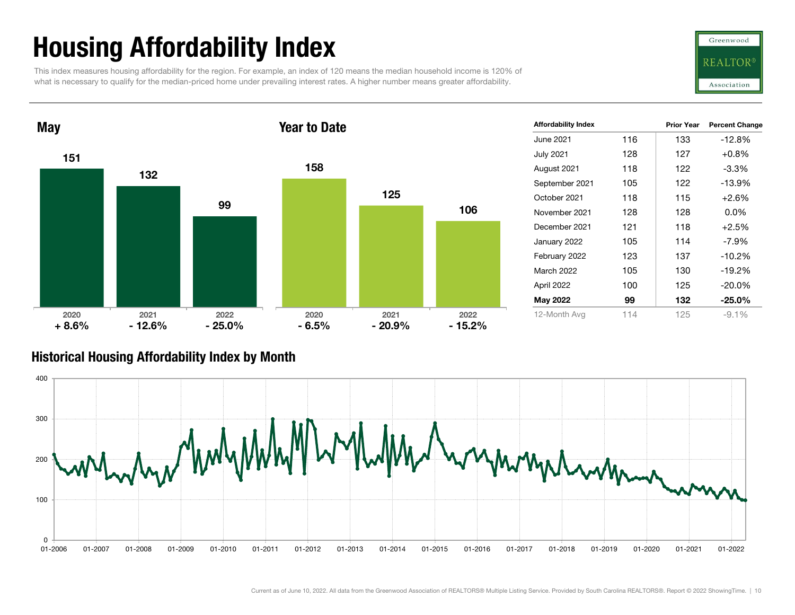## Housing Affordability Index

This index measures housing affordability for the region. For example, an index of 120 means the median household income is 120% of what is necessary to qualify for the median-priced home under prevailing interest rates. A higher number means greater affordability.



Prior Year Percent Change

116 133 -12.8%

118 115 +2.6%

128 128 0.0%

121 118 +2.5%

105 130 -19.2%

July 2021 128 127 +0.8% August 2021 118 122 -3.3% September 2021 105 122 -13.9%

January 2022 105 114 -7.9% February 2022 123 137 -10.2%

April 2022 100 125 -20.0% May 2022 99 132 -25.0% 12-Month Avg 114 125 -9.1%

151132992020 2021 2022 **May** 1581251062020 2021 2022 Year to Date $+8.6\%$  - 12.6% - 25.0% - 6.5% - 12.6% - 25.0% - 20.9% - 15.2%

|  |  | Historical Housing Affordability Index by Month |  |  |  |
|--|--|-------------------------------------------------|--|--|--|
|--|--|-------------------------------------------------|--|--|--|



June 2021

Affordability Index

October 2021

November 2021

December 2021

March 2022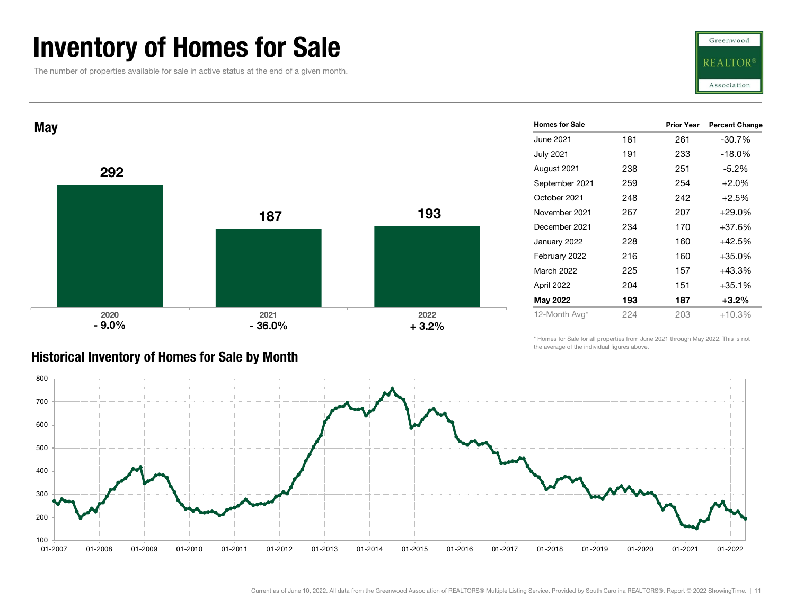### Inventory of Homes for Sale

The number of properties available for sale in active status at the end of a given month.





| <b>Homes for Sale</b> |     | <b>Prior Year</b> | <b>Percent Change</b> |
|-----------------------|-----|-------------------|-----------------------|
| June 2021             | 181 | 261               | -30.7%                |
| <b>July 2021</b>      | 191 | 233               | $-18.0%$              |
| August 2021           | 238 | 251               | $-5.2%$               |
| September 2021        | 259 | 254               | $+2.0%$               |
| October 2021          | 248 | 242               | $+2.5%$               |
| November 2021         | 267 | 207               | $+29.0%$              |
| December 2021         | 234 | 170               | $+37.6%$              |
| January 2022          | 228 | 160               | $+42.5%$              |
| February 2022         | 216 | 160               | $+35.0%$              |
| <b>March 2022</b>     | 225 | 157               | $+43.3%$              |
| April 2022            | 204 | 151               | $+35.1%$              |
| May 2022              | 193 | 187               | $+3.2%$               |
| 12-Month Avg*         | 224 | 203               | +10.3%                |

#### Historical Inventory of Homes for Sale by Month

\* Homes for Sale for all properties from June 2021 through May 2022. This is not the average of the individual figures above.